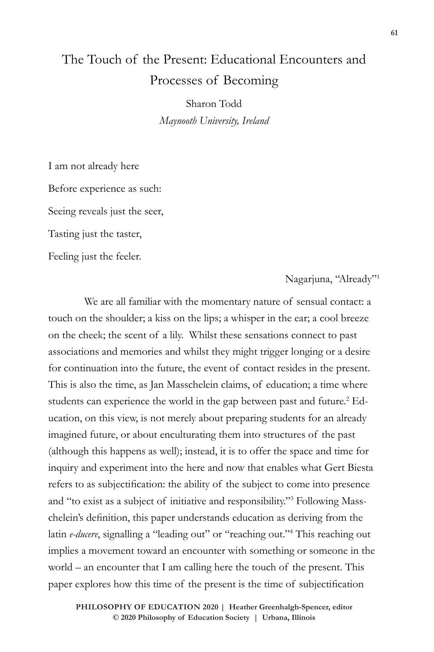# The Touch of the Present: Educational Encounters and Processes of Becoming

Sharon Todd *Maynooth University, Ireland*

I am not already here Before experience as such: Seeing reveals just the seer, Tasting just the taster,

Feeling just the feeler.

Nagarjuna, "Already"1

We are all familiar with the momentary nature of sensual contact: a touch on the shoulder; a kiss on the lips; a whisper in the ear; a cool breeze on the cheek; the scent of a lily. Whilst these sensations connect to past associations and memories and whilst they might trigger longing or a desire for continuation into the future, the event of contact resides in the present. This is also the time, as Jan Masschelein claims, of education; a time where students can experience the world in the gap between past and future.<sup>2</sup> Education, on this view, is not merely about preparing students for an already imagined future, or about enculturating them into structures of the past (although this happens as well); instead, it is to offer the space and time for inquiry and experiment into the here and now that enables what Gert Biesta refers to as subjectification: the ability of the subject to come into presence and "to exist as a subject of initiative and responsibility."3 Following Masschelein's definition, this paper understands education as deriving from the latin *e-ducere*, signalling a "leading out" or "reaching out."<sup>4</sup> This reaching out implies a movement toward an encounter with something or someone in the world – an encounter that I am calling here the touch of the present. This paper explores how this time of the present is the time of subjectification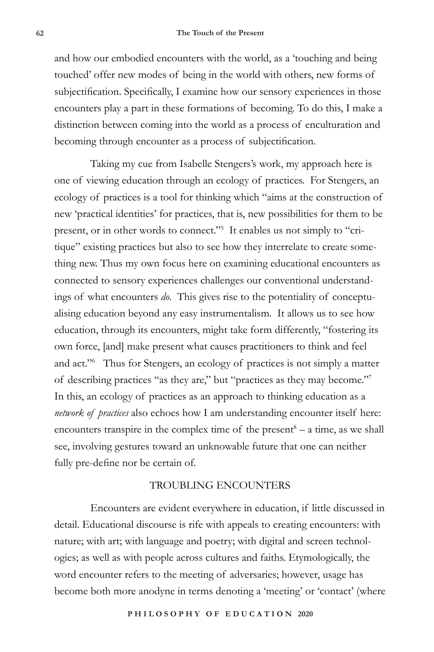and how our embodied encounters with the world, as a 'touching and being touched' offer new modes of being in the world with others, new forms of subjectification. Specifically, I examine how our sensory experiences in those encounters play a part in these formations of becoming. To do this, I make a distinction between coming into the world as a process of enculturation and becoming through encounter as a process of subjectification.

Taking my cue from Isabelle Stengers's work, my approach here is one of viewing education through an ecology of practices. For Stengers, an ecology of practices is a tool for thinking which "aims at the construction of new 'practical identities' for practices, that is, new possibilities for them to be present, or in other words to connect."<sup>5</sup> It enables us not simply to "critique" existing practices but also to see how they interrelate to create something new. Thus my own focus here on examining educational encounters as connected to sensory experiences challenges our conventional understandings of what encounters *do*. This gives rise to the potentiality of conceptualising education beyond any easy instrumentalism. It allows us to see how education, through its encounters, might take form differently, "fostering its own force, [and] make present what causes practitioners to think and feel and act."6 Thus for Stengers, an ecology of practices is not simply a matter of describing practices "as they are," but "practices as they may become."7 In this, an ecology of practices as an approach to thinking education as a *network of practices* also echoes how I am understanding encounter itself here: encounters transpire in the complex time of the present $8 - a$  time, as we shall see, involving gestures toward an unknowable future that one can neither fully pre-define nor be certain of.

## TROUBLING ENCOUNTERS

Encounters are evident everywhere in education, if little discussed in detail. Educational discourse is rife with appeals to creating encounters: with nature; with art; with language and poetry; with digital and screen technologies; as well as with people across cultures and faiths. Etymologically, the word encounter refers to the meeting of adversaries; however, usage has become both more anodyne in terms denoting a 'meeting' or 'contact' (where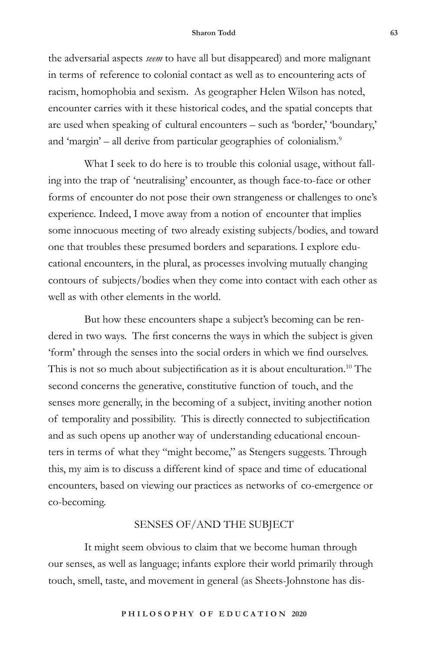the adversarial aspects *seem* to have all but disappeared) and more malignant in terms of reference to colonial contact as well as to encountering acts of racism, homophobia and sexism. As geographer Helen Wilson has noted, encounter carries with it these historical codes, and the spatial concepts that are used when speaking of cultural encounters – such as 'border,' 'boundary,' and 'margin' – all derive from particular geographies of colonialism.<sup>9</sup>

What I seek to do here is to trouble this colonial usage, without falling into the trap of 'neutralising' encounter, as though face-to-face or other forms of encounter do not pose their own strangeness or challenges to one's experience. Indeed, I move away from a notion of encounter that implies some innocuous meeting of two already existing subjects/bodies, and toward one that troubles these presumed borders and separations. I explore educational encounters, in the plural, as processes involving mutually changing contours of subjects/bodies when they come into contact with each other as well as with other elements in the world.

But how these encounters shape a subject's becoming can be rendered in two ways. The first concerns the ways in which the subject is given 'form' through the senses into the social orders in which we find ourselves. This is not so much about subjectification as it is about enculturation.<sup>10</sup> The second concerns the generative, constitutive function of touch, and the senses more generally, in the becoming of a subject, inviting another notion of temporality and possibility. This is directly connected to subjectification and as such opens up another way of understanding educational encounters in terms of what they "might become," as Stengers suggests. Through this, my aim is to discuss a different kind of space and time of educational encounters, based on viewing our practices as networks of co-emergence or co-becoming.

## SENSES OF/AND THE SUBJECT

It might seem obvious to claim that we become human through our senses, as well as language; infants explore their world primarily through touch, smell, taste, and movement in general (as Sheets-Johnstone has dis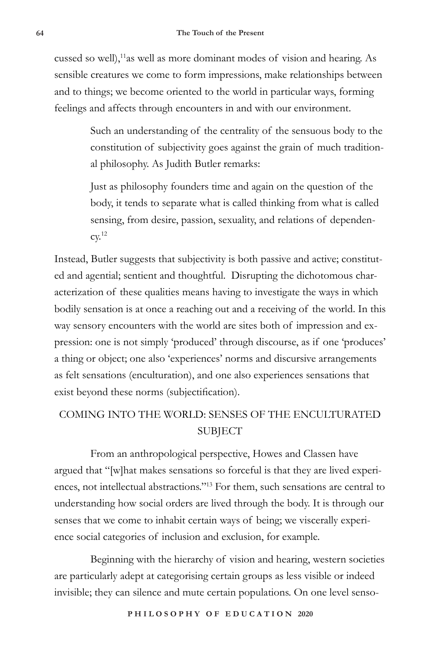cussed so well),<sup>11</sup>as well as more dominant modes of vision and hearing. As sensible creatures we come to form impressions, make relationships between and to things; we become oriented to the world in particular ways, forming feelings and affects through encounters in and with our environment.

> Such an understanding of the centrality of the sensuous body to the constitution of subjectivity goes against the grain of much traditional philosophy. As Judith Butler remarks:

Just as philosophy founders time and again on the question of the body, it tends to separate what is called thinking from what is called sensing, from desire, passion, sexuality, and relations of dependen- $\text{cv.}^{12}$ 

Instead, Butler suggests that subjectivity is both passive and active; constituted and agential; sentient and thoughtful. Disrupting the dichotomous characterization of these qualities means having to investigate the ways in which bodily sensation is at once a reaching out and a receiving of the world. In this way sensory encounters with the world are sites both of impression and expression: one is not simply 'produced' through discourse, as if one 'produces' a thing or object; one also 'experiences' norms and discursive arrangements as felt sensations (enculturation), and one also experiences sensations that exist beyond these norms (subjectification).

## COMING INTO THE WORLD: SENSES OF THE ENCULTURATED SUBJECT

From an anthropological perspective, Howes and Classen have argued that "[w]hat makes sensations so forceful is that they are lived experiences, not intellectual abstractions."13 For them, such sensations are central to understanding how social orders are lived through the body. It is through our senses that we come to inhabit certain ways of being; we viscerally experience social categories of inclusion and exclusion, for example.

Beginning with the hierarchy of vision and hearing, western societies are particularly adept at categorising certain groups as less visible or indeed invisible; they can silence and mute certain populations. On one level senso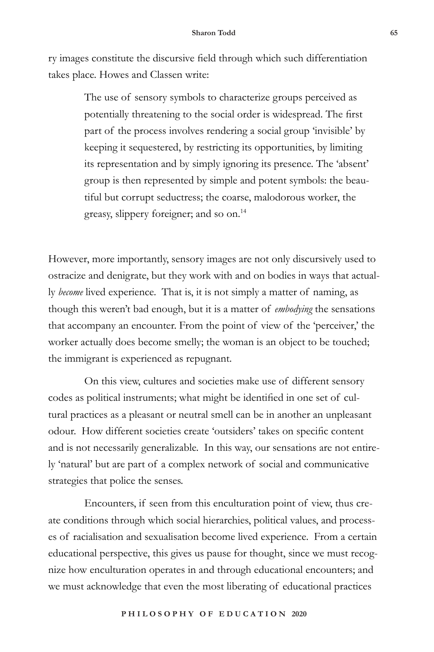ry images constitute the discursive field through which such differentiation takes place. Howes and Classen write:

> The use of sensory symbols to characterize groups perceived as potentially threatening to the social order is widespread. The first part of the process involves rendering a social group 'invisible' by keeping it sequestered, by restricting its opportunities, by limiting its representation and by simply ignoring its presence. The 'absent' group is then represented by simple and potent symbols: the beautiful but corrupt seductress; the coarse, malodorous worker, the greasy, slippery foreigner; and so on.14

However, more importantly, sensory images are not only discursively used to ostracize and denigrate, but they work with and on bodies in ways that actually *become* lived experience. That is, it is not simply a matter of naming, as though this weren't bad enough, but it is a matter of *embodying* the sensations that accompany an encounter. From the point of view of the 'perceiver,' the worker actually does become smelly; the woman is an object to be touched; the immigrant is experienced as repugnant.

On this view, cultures and societies make use of different sensory codes as political instruments; what might be identified in one set of cultural practices as a pleasant or neutral smell can be in another an unpleasant odour. How different societies create 'outsiders' takes on specific content and is not necessarily generalizable. In this way, our sensations are not entirely 'natural' but are part of a complex network of social and communicative strategies that police the senses.

Encounters, if seen from this enculturation point of view, thus create conditions through which social hierarchies, political values, and processes of racialisation and sexualisation become lived experience. From a certain educational perspective, this gives us pause for thought, since we must recognize how enculturation operates in and through educational encounters; and we must acknowledge that even the most liberating of educational practices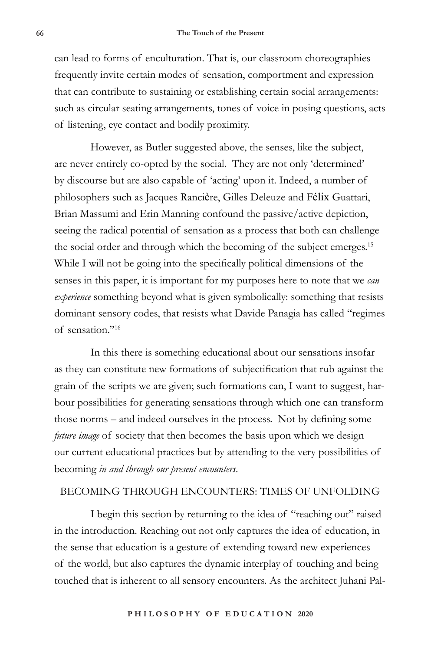can lead to forms of enculturation. That is, our classroom choreographies frequently invite certain modes of sensation, comportment and expression that can contribute to sustaining or establishing certain social arrangements: such as circular seating arrangements, tones of voice in posing questions, acts of listening, eye contact and bodily proximity.

However, as Butler suggested above, the senses, like the subject, are never entirely co-opted by the social. They are not only 'determined' by discourse but are also capable of 'acting' upon it. Indeed, a number of philosophers such as Jacques Rancière, Gilles Deleuze and Félix Guattari, Brian Massumi and Erin Manning confound the passive/active depiction, seeing the radical potential of sensation as a process that both can challenge the social order and through which the becoming of the subject emerges.<sup>15</sup> While I will not be going into the specifically political dimensions of the senses in this paper, it is important for my purposes here to note that we *can experience* something beyond what is given symbolically: something that resists dominant sensory codes, that resists what Davide Panagia has called "regimes of sensation."16

In this there is something educational about our sensations insofar as they can constitute new formations of subjectification that rub against the grain of the scripts we are given; such formations can, I want to suggest, harbour possibilities for generating sensations through which one can transform those norms – and indeed ourselves in the process. Not by defining some *future image* of society that then becomes the basis upon which we design our current educational practices but by attending to the very possibilities of becoming *in and through our present encounters*.

## BECOMING THROUGH ENCOUNTERS: TIMES OF UNFOLDING

I begin this section by returning to the idea of "reaching out" raised in the introduction. Reaching out not only captures the idea of education, in the sense that education is a gesture of extending toward new experiences of the world, but also captures the dynamic interplay of touching and being touched that is inherent to all sensory encounters. As the architect Juhani Pal-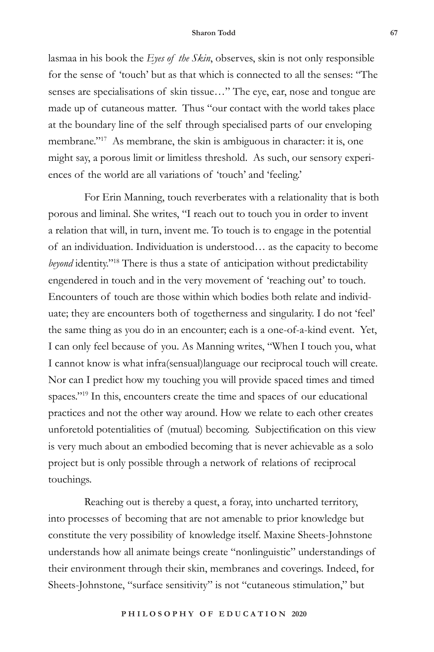lasmaa in his book the *Eyes of the Skin*, observes, skin is not only responsible for the sense of 'touch' but as that which is connected to all the senses: "The senses are specialisations of skin tissue…" The eye, ear, nose and tongue are made up of cutaneous matter. Thus "our contact with the world takes place at the boundary line of the self through specialised parts of our enveloping membrane."<sup>17</sup> As membrane, the skin is ambiguous in character: it is, one might say, a porous limit or limitless threshold. As such, our sensory experiences of the world are all variations of 'touch' and 'feeling.'

For Erin Manning, touch reverberates with a relationality that is both porous and liminal. She writes, "I reach out to touch you in order to invent a relation that will, in turn, invent me. To touch is to engage in the potential of an individuation. Individuation is understood… as the capacity to become *beyond* identity."18 There is thus a state of anticipation without predictability engendered in touch and in the very movement of 'reaching out' to touch. Encounters of touch are those within which bodies both relate and individuate; they are encounters both of togetherness and singularity. I do not 'feel' the same thing as you do in an encounter; each is a one-of-a-kind event. Yet, I can only feel because of you. As Manning writes, "When I touch you, what I cannot know is what infra(sensual)language our reciprocal touch will create. Nor can I predict how my touching you will provide spaced times and timed spaces."<sup>19</sup> In this, encounters create the time and spaces of our educational practices and not the other way around. How we relate to each other creates unforetold potentialities of (mutual) becoming. Subjectification on this view is very much about an embodied becoming that is never achievable as a solo project but is only possible through a network of relations of reciprocal touchings.

Reaching out is thereby a quest, a foray, into uncharted territory, into processes of becoming that are not amenable to prior knowledge but constitute the very possibility of knowledge itself. Maxine Sheets-Johnstone understands how all animate beings create "nonlinguistic" understandings of their environment through their skin, membranes and coverings. Indeed, for Sheets-Johnstone, "surface sensitivity" is not "cutaneous stimulation," but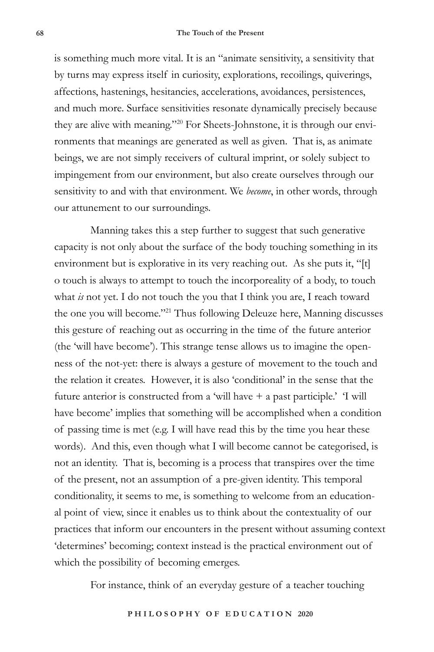is something much more vital. It is an "animate sensitivity, a sensitivity that by turns may express itself in curiosity, explorations, recoilings, quiverings, affections, hastenings, hesitancies, accelerations, avoidances, persistences, and much more. Surface sensitivities resonate dynamically precisely because they are alive with meaning."20 For Sheets-Johnstone, it is through our environments that meanings are generated as well as given. That is, as animate beings, we are not simply receivers of cultural imprint, or solely subject to impingement from our environment, but also create ourselves through our sensitivity to and with that environment. We *become*, in other words, through our attunement to our surroundings.

Manning takes this a step further to suggest that such generative capacity is not only about the surface of the body touching something in its environment but is explorative in its very reaching out. As she puts it, "[t] o touch is always to attempt to touch the incorporeality of a body, to touch what *is* not yet. I do not touch the you that I think you are, I reach toward the one you will become."21 Thus following Deleuze here, Manning discusses this gesture of reaching out as occurring in the time of the future anterior (the 'will have become'). This strange tense allows us to imagine the openness of the not-yet: there is always a gesture of movement to the touch and the relation it creates. However, it is also 'conditional' in the sense that the future anterior is constructed from a 'will have + a past participle.' 'I will have become' implies that something will be accomplished when a condition of passing time is met (e.g. I will have read this by the time you hear these words). And this, even though what I will become cannot be categorised, is not an identity. That is, becoming is a process that transpires over the time of the present, not an assumption of a pre-given identity. This temporal conditionality, it seems to me, is something to welcome from an educational point of view, since it enables us to think about the contextuality of our practices that inform our encounters in the present without assuming context 'determines' becoming; context instead is the practical environment out of which the possibility of becoming emerges.

For instance, think of an everyday gesture of a teacher touching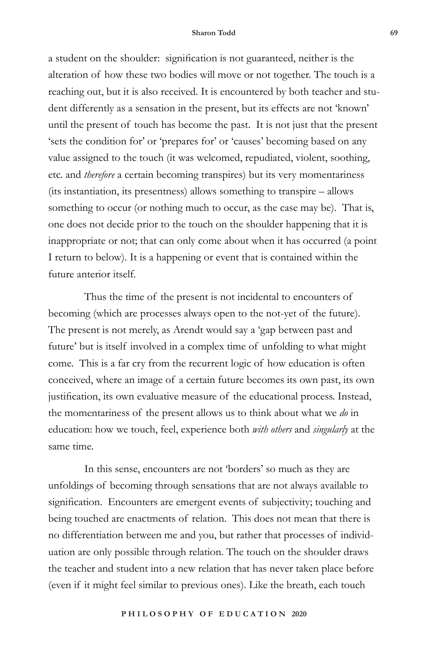a student on the shoulder: signification is not guaranteed, neither is the alteration of how these two bodies will move or not together. The touch is a reaching out, but it is also received. It is encountered by both teacher and student differently as a sensation in the present, but its effects are not 'known' until the present of touch has become the past. It is not just that the present 'sets the condition for' or 'prepares for' or 'causes' becoming based on any value assigned to the touch (it was welcomed, repudiated, violent, soothing, etc. and *therefore* a certain becoming transpires) but its very momentariness (its instantiation, its presentness) allows something to transpire – allows something to occur (or nothing much to occur, as the case may be). That is, one does not decide prior to the touch on the shoulder happening that it is inappropriate or not; that can only come about when it has occurred (a point I return to below). It is a happening or event that is contained within the future anterior itself.

Thus the time of the present is not incidental to encounters of becoming (which are processes always open to the not-yet of the future). The present is not merely, as Arendt would say a 'gap between past and future' but is itself involved in a complex time of unfolding to what might come. This is a far cry from the recurrent logic of how education is often conceived, where an image of a certain future becomes its own past, its own justification, its own evaluative measure of the educational process. Instead, the momentariness of the present allows us to think about what we *do* in education: how we touch, feel, experience both *with others* and *singularly* at the same time.

In this sense, encounters are not 'borders' so much as they are unfoldings of becoming through sensations that are not always available to signification. Encounters are emergent events of subjectivity; touching and being touched are enactments of relation. This does not mean that there is no differentiation between me and you, but rather that processes of individuation are only possible through relation. The touch on the shoulder draws the teacher and student into a new relation that has never taken place before (even if it might feel similar to previous ones). Like the breath, each touch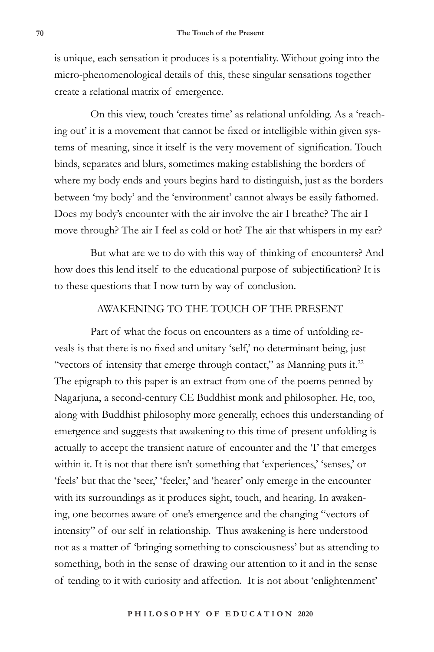is unique, each sensation it produces is a potentiality. Without going into the micro-phenomenological details of this, these singular sensations together create a relational matrix of emergence.

On this view, touch 'creates time' as relational unfolding. As a 'reaching out' it is a movement that cannot be fixed or intelligible within given systems of meaning, since it itself is the very movement of signification. Touch binds, separates and blurs, sometimes making establishing the borders of where my body ends and yours begins hard to distinguish, just as the borders between 'my body' and the 'environment' cannot always be easily fathomed. Does my body's encounter with the air involve the air I breathe? The air I move through? The air I feel as cold or hot? The air that whispers in my ear?

But what are we to do with this way of thinking of encounters? And how does this lend itself to the educational purpose of subjectification? It is to these questions that I now turn by way of conclusion.

## AWAKENING TO THE TOUCH OF THE PRESENT

Part of what the focus on encounters as a time of unfolding reveals is that there is no fixed and unitary 'self,' no determinant being, just "vectors of intensity that emerge through contact," as Manning puts it. $^{22}$ The epigraph to this paper is an extract from one of the poems penned by Nagarjuna, a second-century CE Buddhist monk and philosopher. He, too, along with Buddhist philosophy more generally, echoes this understanding of emergence and suggests that awakening to this time of present unfolding is actually to accept the transient nature of encounter and the 'I' that emerges within it. It is not that there isn't something that 'experiences,' 'senses,' or 'feels' but that the 'seer,' 'feeler,' and 'hearer' only emerge in the encounter with its surroundings as it produces sight, touch, and hearing. In awakening, one becomes aware of one's emergence and the changing "vectors of intensity" of our self in relationship. Thus awakening is here understood not as a matter of 'bringing something to consciousness' but as attending to something, both in the sense of drawing our attention to it and in the sense of tending to it with curiosity and affection. It is not about 'enlightenment'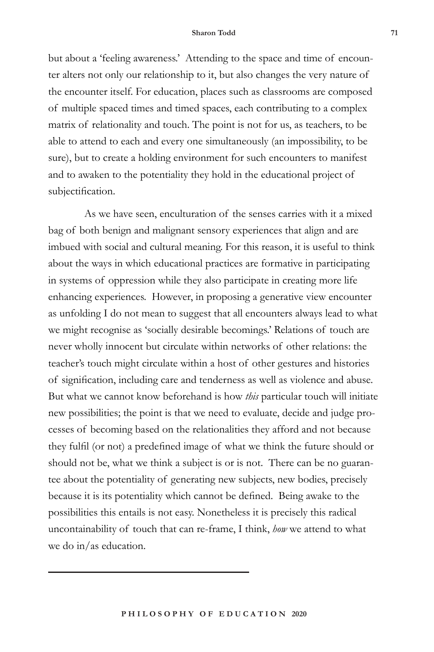but about a 'feeling awareness.' Attending to the space and time of encounter alters not only our relationship to it, but also changes the very nature of the encounter itself. For education, places such as classrooms are composed of multiple spaced times and timed spaces, each contributing to a complex matrix of relationality and touch. The point is not for us, as teachers, to be able to attend to each and every one simultaneously (an impossibility, to be sure), but to create a holding environment for such encounters to manifest and to awaken to the potentiality they hold in the educational project of subjectification.

As we have seen, enculturation of the senses carries with it a mixed bag of both benign and malignant sensory experiences that align and are imbued with social and cultural meaning. For this reason, it is useful to think about the ways in which educational practices are formative in participating in systems of oppression while they also participate in creating more life enhancing experiences. However, in proposing a generative view encounter as unfolding I do not mean to suggest that all encounters always lead to what we might recognise as 'socially desirable becomings.' Relations of touch are never wholly innocent but circulate within networks of other relations: the teacher's touch might circulate within a host of other gestures and histories of signification, including care and tenderness as well as violence and abuse. But what we cannot know beforehand is how *this* particular touch will initiate new possibilities; the point is that we need to evaluate, decide and judge processes of becoming based on the relationalities they afford and not because they fulfil (or not) a predefined image of what we think the future should or should not be, what we think a subject is or is not. There can be no guarantee about the potentiality of generating new subjects, new bodies, precisely because it is its potentiality which cannot be defined. Being awake to the possibilities this entails is not easy. Nonetheless it is precisely this radical uncontainability of touch that can re-frame, I think, *how* we attend to what we do in/as education.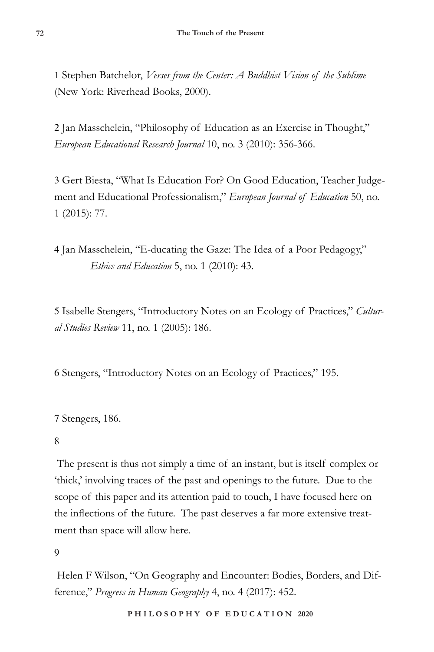1 Stephen Batchelor, *Verses from the Center: A Buddhist Vision of the Sublime* (New York: Riverhead Books, 2000).

2 Jan Masschelein, "Philosophy of Education as an Exercise in Thought," *European Educational Research Journal* 10, no. 3 (2010): 356-366.

3 Gert Biesta, "What Is Education For? On Good Education, Teacher Judgement and Educational Professionalism," *European Journal of Education* 50, no. 1 (2015): 77.

4 Jan Masschelein, "E-ducating the Gaze: The Idea of a Poor Pedagogy," *Ethics and Education* 5, no. 1 (2010): 43.

5 Isabelle Stengers, "Introductory Notes on an Ecology of Practices," *Cultural Studies Review* 11, no. 1 (2005): 186.

6 Stengers, "Introductory Notes on an Ecology of Practices," 195.

7 Stengers, 186.

## 8

 The present is thus not simply a time of an instant, but is itself complex or 'thick,' involving traces of the past and openings to the future. Due to the scope of this paper and its attention paid to touch, I have focused here on the inflections of the future. The past deserves a far more extensive treatment than space will allow here.

## $\mathbf Q$

Helen F Wilson, "On Geography and Encounter: Bodies, Borders, and Difference," *Progress in Human Geography* 4, no. 4 (2017): 452.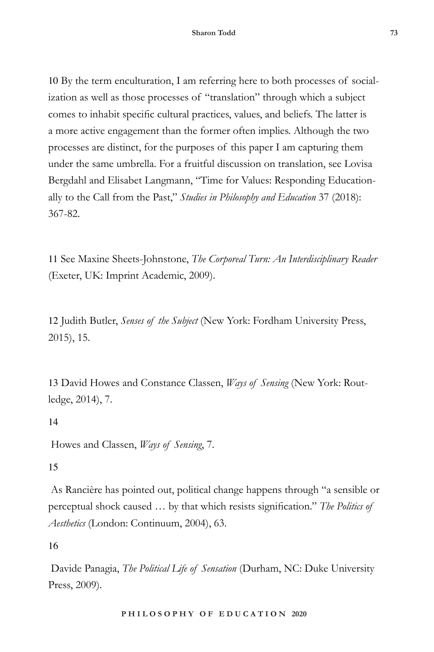10 By the term enculturation, I am referring here to both processes of socialization as well as those processes of "translation" through which a subject comes to inhabit specific cultural practices, values, and beliefs. The latter is a more active engagement than the former often implies. Although the two processes are distinct, for the purposes of this paper I am capturing them under the same umbrella. For a fruitful discussion on translation, see Lovisa Bergdahl and Elisabet Langmann, "Time for Values: Responding Educationally to the Call from the Past," *Studies in Philosophy and Education* 37 (2018): 367-82.

11 See Maxine Sheets-Johnstone, *The Corporeal Turn: An Interdisciplinary Reader* (Exeter, UK: Imprint Academic, 2009).

12 Judith Butler, *Senses of the Subject* (New York: Fordham University Press, 2015), 15.

13 David Howes and Constance Classen, *Ways of Sensing* (New York: Routledge, 2014), 7.

14

Howes and Classen, *Ways of Sensing*, 7.

## 15

 As Rancière has pointed out, political change happens through "a sensible or perceptual shock caused … by that which resists signification." *The Politics of Aesthetics* (London: Continuum, 2004), 63.

16

Davide Panagia, *The Political Life of Sensation* (Durham, NC: Duke University Press, 2009).